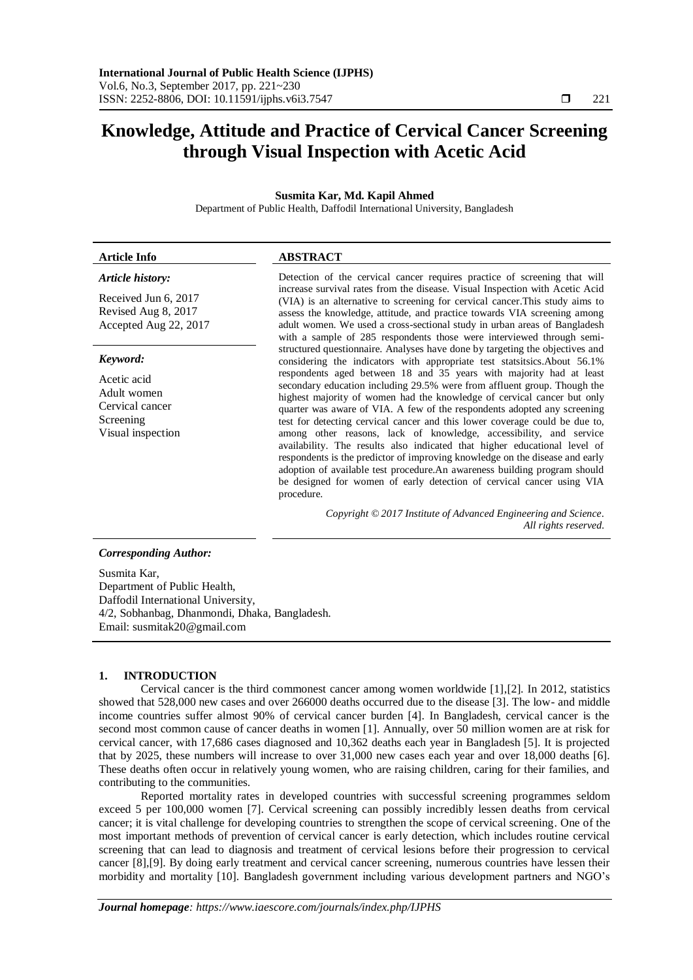# **Knowledge, Attitude and Practice of Cervical Cancer Screening through Visual Inspection with Acetic Acid**

# **Susmita Kar, Md. Kapil Ahmed**

Department of Public Health, Daffodil International University, Bangladesh

#### **Article Info ABSTRACT**

## *Article history:*

Received Jun 6, 2017 Revised Aug 8, 2017 Accepted Aug 22, 2017

#### *Keyword:*

Acetic acid Adult women Cervical cancer Screening Visual inspection

Detection of the cervical cancer requires practice of screening that will increase survival rates from the disease. Visual Inspection with Acetic Acid (VIA) is an alternative to screening for cervical cancer.This study aims to assess the knowledge, attitude, and practice towards VIA screening among adult women. We used a cross-sectional study in urban areas of Bangladesh with a sample of 285 respondents those were interviewed through semistructured questionnaire. Analyses have done by targeting the objectives and considering the indicators with appropriate test statsitsics.About 56.1% respondents aged between 18 and 35 years with majority had at least secondary education including 29.5% were from affluent group. Though the highest majority of women had the knowledge of cervical cancer but only quarter was aware of VIA. A few of the respondents adopted any screening test for detecting cervical cancer and this lower coverage could be due to, among other reasons, lack of knowledge, accessibility, and service availability. The results also indicated that higher educational level of respondents is the predictor of improving knowledge on the disease and early adoption of available test procedure.An awareness building program should be designed for women of early detection of cervical cancer using VIA procedure.

> *Copyright © 2017 Institute of Advanced Engineering and Science. All rights reserved.*

# *Corresponding Author:*

Susmita Kar, Department of Public Health, Daffodil International University, 4/2, Sobhanbag, Dhanmondi, Dhaka, Bangladesh. Email: susmitak20@gmail.com

#### **1. INTRODUCTION**

Cervical cancer is the third commonest cancer among women worldwide [1],[2]. In 2012, statistics showed that 528,000 new cases and over 266000 deaths occurred due to the disease [3]. The low- and middle income countries suffer almost 90% of cervical cancer burden [4]. In Bangladesh, cervical cancer is the second most common cause of cancer deaths in women [1]. Annually, over 50 million women are at risk for cervical cancer, with 17,686 cases diagnosed and 10,362 deaths each year in Bangladesh [5]. It is projected that by 2025, these numbers will increase to over 31,000 new cases each year and over 18,000 deaths [6]. These deaths often occur in relatively young women, who are raising children, caring for their families, and contributing to the communities.

Reported mortality rates in developed countries with successful screening programmes seldom exceed 5 per 100,000 women [7]. Cervical screening can possibly incredibly lessen deaths from cervical cancer; it is vital challenge for developing countries to strengthen the scope of cervical screening. One of the most important methods of prevention of cervical cancer is early detection, which includes routine cervical screening that can lead to diagnosis and treatment of cervical lesions before their progression to cervical cancer [8],[9]. By doing early treatment and cervical cancer screening, numerous countries have lessen their morbidity and mortality [10]. Bangladesh government including various development partners and NGO's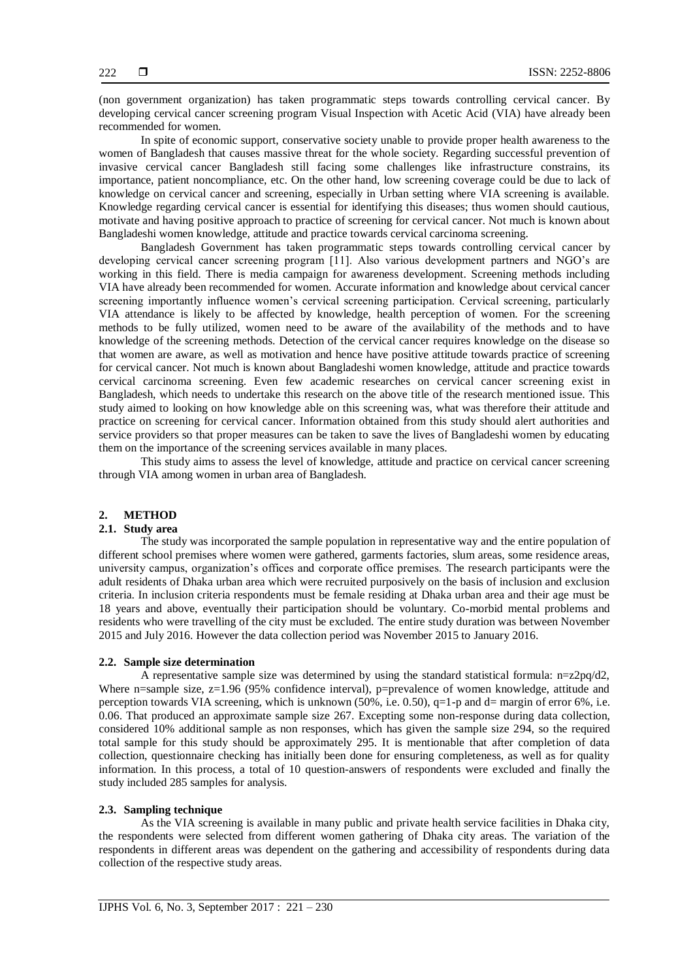(non government organization) has taken programmatic steps towards controlling cervical cancer. By developing cervical cancer screening program Visual Inspection with Acetic Acid (VIA) have already been recommended for women.

In spite of economic support, conservative society unable to provide proper health awareness to the women of Bangladesh that causes massive threat for the whole society. Regarding successful prevention of invasive cervical cancer Bangladesh still facing some challenges like infrastructure constrains, its importance, patient noncompliance, etc. On the other hand, low screening coverage could be due to lack of knowledge on cervical cancer and screening, especially in Urban setting where VIA screening is available. Knowledge regarding cervical cancer is essential for identifying this diseases; thus women should cautious, motivate and having positive approach to practice of screening for cervical cancer. Not much is known about Bangladeshi women knowledge, attitude and practice towards cervical carcinoma screening.

Bangladesh Government has taken programmatic steps towards controlling cervical cancer by developing cervical cancer screening program [11]. Also various development partners and NGO's are working in this field. There is media campaign for awareness development. Screening methods including VIA have already been recommended for women. Accurate information and knowledge about cervical cancer screening importantly influence women's cervical screening participation. Cervical screening, particularly VIA attendance is likely to be affected by knowledge, health perception of women. For the screening methods to be fully utilized, women need to be aware of the availability of the methods and to have knowledge of the screening methods. Detection of the cervical cancer requires knowledge on the disease so that women are aware, as well as motivation and hence have positive attitude towards practice of screening for cervical cancer. Not much is known about Bangladeshi women knowledge, attitude and practice towards cervical carcinoma screening. Even few academic researches on cervical cancer screening exist in Bangladesh, which needs to undertake this research on the above title of the research mentioned issue. This study aimed to looking on how knowledge able on this screening was, what was therefore their attitude and practice on screening for cervical cancer. Information obtained from this study should alert authorities and service providers so that proper measures can be taken to save the lives of Bangladeshi women by educating them on the importance of the screening services available in many places.

This study aims to assess the level of knowledge, attitude and practice on cervical cancer screening through VIA among women in urban area of Bangladesh.

#### **2. METHOD**

# **2.1. Study area**

The study was incorporated the sample population in representative way and the entire population of different school premises where women were gathered, garments factories, slum areas, some residence areas, university campus, organization's offices and corporate office premises. The research participants were the adult residents of Dhaka urban area which were recruited purposively on the basis of inclusion and exclusion criteria. In inclusion criteria respondents must be female residing at Dhaka urban area and their age must be 18 years and above, eventually their participation should be voluntary. Co-morbid mental problems and residents who were travelling of the city must be excluded. The entire study duration was between November 2015 and July 2016. However the data collection period was November 2015 to January 2016.

#### **2.2. Sample size determination**

A representative sample size was determined by using the standard statistical formula: n=z2pq/d2, Where n=sample size,  $z=1.96$  (95% confidence interval), p=prevalence of women knowledge, attitude and perception towards VIA screening, which is unknown (50%, i.e. 0.50),  $q=1-p$  and  $d=$  margin of error 6%, i.e. 0.06. That produced an approximate sample size 267. Excepting some non-response during data collection, considered 10% additional sample as non responses, which has given the sample size 294, so the required total sample for this study should be approximately 295. It is mentionable that after completion of data collection, questionnaire checking has initially been done for ensuring completeness, as well as for quality information. In this process, a total of 10 question-answers of respondents were excluded and finally the study included 285 samples for analysis.

#### **2.3. Sampling technique**

As the VIA screening is available in many public and private health service facilities in Dhaka city, the respondents were selected from different women gathering of Dhaka city areas. The variation of the respondents in different areas was dependent on the gathering and accessibility of respondents during data collection of the respective study areas.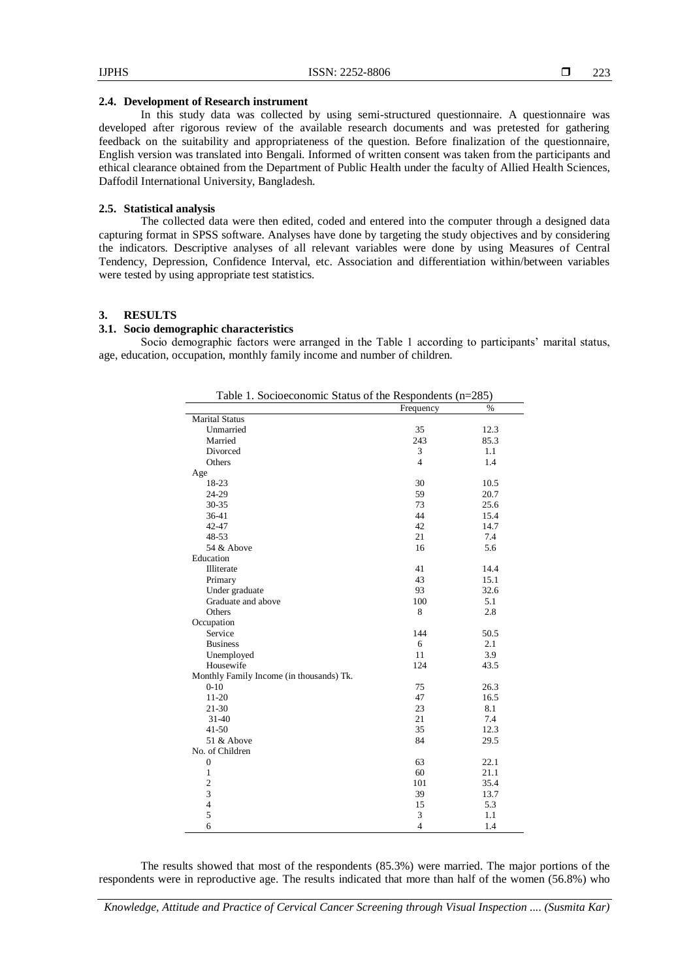# **2.4. Development of Research instrument**

In this study data was collected by using semi-structured questionnaire. A questionnaire was developed after rigorous review of the available research documents and was pretested for gathering feedback on the suitability and appropriateness of the question. Before finalization of the questionnaire, English version was translated into Bengali. Informed of written consent was taken from the participants and ethical clearance obtained from the Department of Public Health under the faculty of Allied Health Sciences, Daffodil International University, Bangladesh.

#### **2.5. Statistical analysis**

The collected data were then edited, coded and entered into the computer through a designed data capturing format in SPSS software. Analyses have done by targeting the study objectives and by considering the indicators. Descriptive analyses of all relevant variables were done by using Measures of Central Tendency, Depression, Confidence Interval, etc. Association and differentiation within/between variables were tested by using appropriate test statistics.

### **3. RESULTS**

## **3.1. Socio demographic characteristics**

Socio demographic factors were arranged in the Table 1 according to participants' marital status, age, education, occupation, monthly family income and number of children.

| Table 1. Socioeconomic Status of the Respondents (n=285) |                |      |  |  |
|----------------------------------------------------------|----------------|------|--|--|
|                                                          | Frequency      | $\%$ |  |  |
| <b>Marital Status</b>                                    |                |      |  |  |
| Unmarried                                                | 35             | 12.3 |  |  |
| Married                                                  | 243            | 85.3 |  |  |
| Divorced                                                 | 3              | 1.1  |  |  |
| Others                                                   | $\overline{4}$ | 1.4  |  |  |
| Age                                                      |                |      |  |  |
| 18-23                                                    | 30             | 10.5 |  |  |
| 24-29                                                    | 59             | 20.7 |  |  |
| 30-35                                                    | 73             | 25.6 |  |  |
| 36-41                                                    | 44             | 15.4 |  |  |
| 42-47                                                    | 42             | 14.7 |  |  |
| 48-53                                                    | 21             | 7.4  |  |  |
| 54 & Above                                               | 16             | 5.6  |  |  |
| Education                                                |                |      |  |  |
| Illiterate                                               | 41             | 14.4 |  |  |
| Primary                                                  | 43             | 15.1 |  |  |
| Under graduate                                           | 93             | 32.6 |  |  |
| Graduate and above                                       | 100            | 5.1  |  |  |
| Others                                                   | 8              | 2.8  |  |  |
| Occupation                                               |                |      |  |  |
| Service                                                  | 144            | 50.5 |  |  |
| <b>Business</b>                                          | 6              | 2.1  |  |  |
| Unemployed                                               | 11             | 3.9  |  |  |
| Housewife                                                | 124            | 43.5 |  |  |
| Monthly Family Income (in thousands) Tk.                 |                |      |  |  |
| $0 - 10$                                                 | 75             | 26.3 |  |  |
| $11-20$                                                  | 47             | 16.5 |  |  |
| 21-30                                                    | 23             | 8.1  |  |  |
| $31 - 40$                                                | 21             | 7.4  |  |  |
| $41 - 50$                                                | 35             | 12.3 |  |  |
| 51 & Above                                               | 84             | 29.5 |  |  |
| No. of Children                                          |                |      |  |  |
| $\boldsymbol{0}$                                         | 63             | 22.1 |  |  |
| $\mathbf{1}$                                             | 60             | 21.1 |  |  |
| $\overline{c}$                                           | 101            | 35.4 |  |  |
| 3                                                        | 39             | 13.7 |  |  |
| $\overline{\mathbf{4}}$                                  | 15             | 5.3  |  |  |
| 5                                                        | 3              | 1.1  |  |  |
| 6                                                        | $\overline{4}$ | 1.4  |  |  |

The results showed that most of the respondents (85.3%) were married. The major portions of the respondents were in reproductive age. The results indicated that more than half of the women (56.8%) who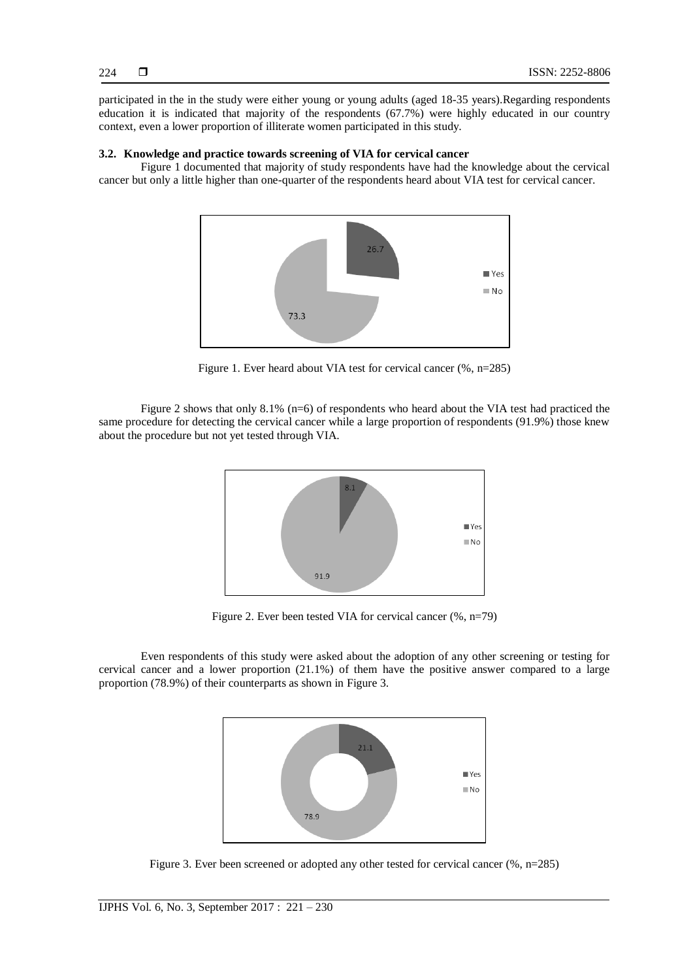participated in the in the study were either young or young adults (aged 18-35 years).Regarding respondents education it is indicated that majority of the respondents (67.7%) were highly educated in our country context, even a lower proportion of illiterate women participated in this study.

### **3.2. Knowledge and practice towards screening of VIA for cervical cancer**

Figure 1 documented that majority of study respondents have had the knowledge about the cervical cancer but only a little higher than one-quarter of the respondents heard about VIA test for cervical cancer.



Figure 1. Ever heard about VIA test for cervical cancer (%, n=285)

Figure 2 shows that only 8.1% (n=6) of respondents who heard about the VIA test had practiced the same procedure for detecting the cervical cancer while a large proportion of respondents (91.9%) those knew about the procedure but not yet tested through VIA.



Figure 2. Ever been tested VIA for cervical cancer (%, n=79)

Even respondents of this study were asked about the adoption of any other screening or testing for cervical cancer and a lower proportion (21.1%) of them have the positive answer compared to a large proportion (78.9%) of their counterparts as shown in Figure 3.



Figure 3. Ever been screened or adopted any other tested for cervical cancer (%, n=285)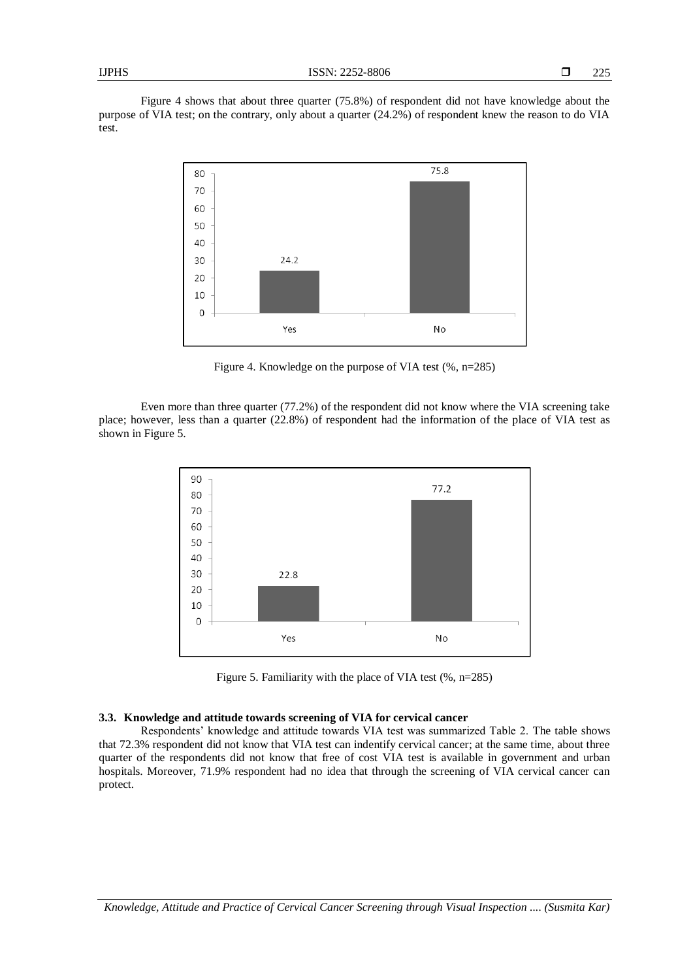Figure 4 shows that about three quarter (75.8%) of respondent did not have knowledge about the purpose of VIA test; on the contrary, only about a quarter (24.2%) of respondent knew the reason to do VIA test.



Figure 4. Knowledge on the purpose of VIA test (%, n=285)

Even more than three quarter (77.2%) of the respondent did not know where the VIA screening take place; however, less than a quarter (22.8%) of respondent had the information of the place of VIA test as shown in Figure 5.



Figure 5. Familiarity with the place of VIA test (%, n=285)

#### **3.3. Knowledge and attitude towards screening of VIA for cervical cancer**

Respondents' knowledge and attitude towards VIA test was summarized Table 2. The table shows that 72.3% respondent did not know that VIA test can indentify cervical cancer; at the same time, about three quarter of the respondents did not know that free of cost VIA test is available in government and urban hospitals. Moreover, 71.9% respondent had no idea that through the screening of VIA cervical cancer can protect.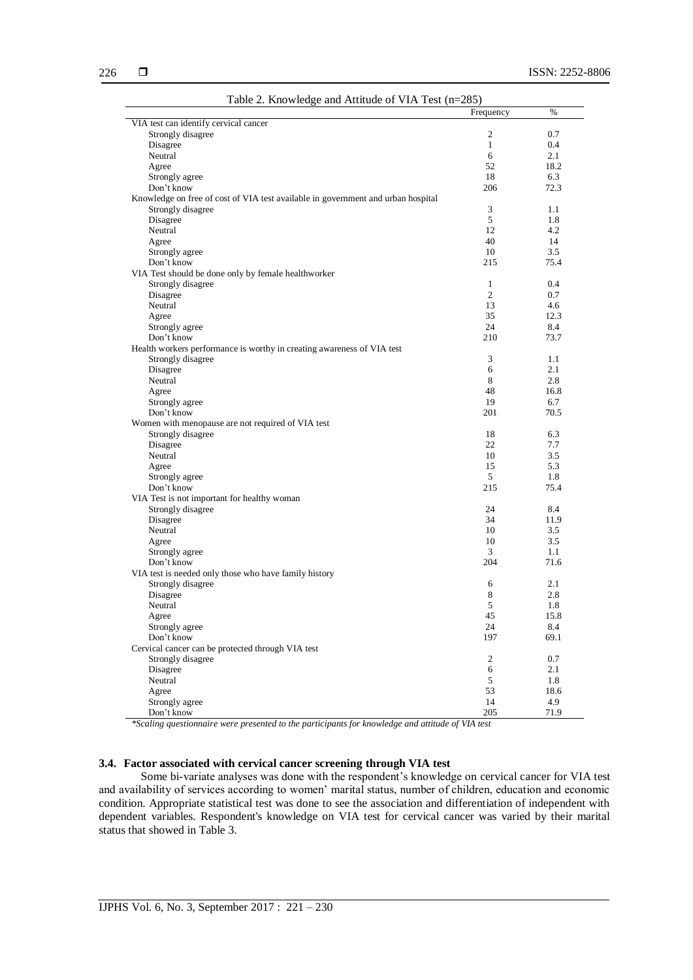| Table 2. Knowledge and Attitude of VIA Test (n=285)                              | Frequency      | %           |
|----------------------------------------------------------------------------------|----------------|-------------|
| VIA test can identify cervical cancer                                            |                |             |
| Strongly disagree                                                                | $\overline{c}$ | 0.7         |
| Disagree                                                                         | 1              | 0.4         |
| Neutral                                                                          | 6              | 2.1         |
| Agree                                                                            | 52             | 18.2        |
| Strongly agree                                                                   | 18             | 6.3         |
| Don't know                                                                       | 206            | 72.3        |
| Knowledge on free of cost of VIA test available in government and urban hospital |                |             |
| Strongly disagree                                                                | 3              | 1.1         |
| Disagree                                                                         | 5              | 1.8         |
| Neutral                                                                          | 12             | 4.2         |
| Agree                                                                            | 40             | 14          |
| Strongly agree                                                                   | 10             | 3.5         |
| Don't know                                                                       | 215            | 75.4        |
| VIA Test should be done only by female healthworker                              |                |             |
| Strongly disagree                                                                | $\mathbf{1}$   | 0.4         |
| Disagree                                                                         | $\overline{2}$ | 0.7         |
| Neutral                                                                          | 13             | 4.6         |
| Agree                                                                            | 35             | 12.3        |
| Strongly agree                                                                   | 24             | 8.4         |
| Don't know                                                                       | 210            | 73.7        |
| Health workers performance is worthy in creating awareness of VIA test           |                |             |
| Strongly disagree                                                                | 3              | 1.1         |
| Disagree                                                                         | 6              | 2.1         |
| Neutral                                                                          | 8              | 2.8         |
| Agree                                                                            | 48             | 16.8        |
| Strongly agree                                                                   | 19             | 6.7         |
| Don't know                                                                       | 201            | 70.5        |
| Women with menopause are not required of VIA test                                |                |             |
| Strongly disagree                                                                | 18             | 6.3         |
| Disagree                                                                         | 22             | 7.7         |
| Neutral                                                                          | 10             | 3.5         |
| Agree                                                                            | 15             | 5.3         |
| Strongly agree                                                                   | 5              | 1.8         |
| Don't know                                                                       | 215            | 75.4        |
| VIA Test is not important for healthy woman                                      |                |             |
| Strongly disagree                                                                | 24             | 8.4         |
| Disagree                                                                         | 34             | 11.9        |
| Neutral                                                                          | 10             | 3.5         |
| Agree                                                                            | 10             | 3.5         |
| Strongly agree                                                                   | 3              | 1.1         |
| Don't know                                                                       | 204            | 71.6        |
| VIA test is needed only those who have family history                            |                |             |
| Strongly disagree                                                                | 6              | 2.1         |
| Disagree                                                                         | 8              | 2.8         |
| Neutral                                                                          | 5              | 1.8         |
| Agree                                                                            | 45             | 15.8        |
| Strongly agree                                                                   | 24             | 8.4         |
| Don't know                                                                       | 197            | 69.1        |
| Cervical cancer can be protected through VIA test                                |                |             |
| Strongly disagree                                                                | $\overline{2}$ | 0.7         |
| Disagree                                                                         | 6              | 2.1         |
| Neutral                                                                          | 5              |             |
|                                                                                  | 53             | 1.8<br>18.6 |
| Agree                                                                            |                |             |
| Strongly agree<br>Don't know                                                     | 14<br>205      | 4.9<br>71.9 |

Table 2. Knowledge and Attitude of VIA Test (n=285)

*\*Scaling questionnaire were presented to the participants for knowledge and attitude of VIA test*

# **3.4. Factor associated with cervical cancer screening through VIA test**

Some bi-variate analyses was done with the respondent's knowledge on cervical cancer for VIA test and availability of services according to women' marital status, number of children, education and economic condition. Appropriate statistical test was done to see the association and differentiation of independent with dependent variables. Respondent's knowledge on VIA test for cervical cancer was varied by their marital status that showed in Table 3.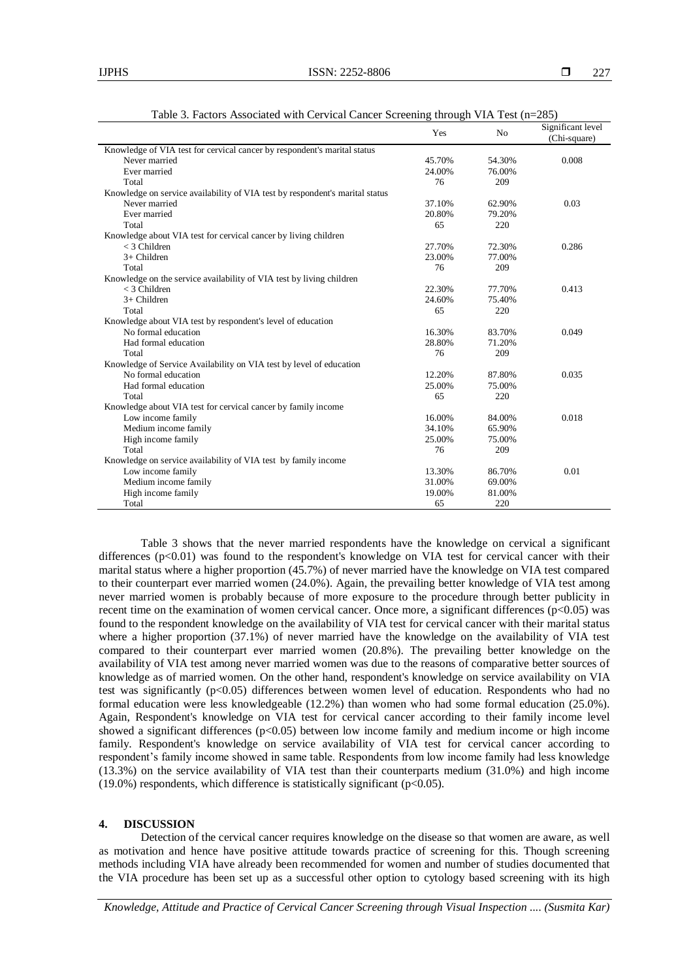|                                                                              | Yes    | N <sub>0</sub> | Significant level |
|------------------------------------------------------------------------------|--------|----------------|-------------------|
|                                                                              |        |                | (Chi-square)      |
| Knowledge of VIA test for cervical cancer by respondent's marital status     |        |                |                   |
| Never married                                                                | 45.70% | 54.30%         | 0.008             |
| Ever married                                                                 | 24.00% | 76.00%         |                   |
| Total                                                                        | 76     | 209            |                   |
| Knowledge on service availability of VIA test by respondent's marital status |        |                |                   |
| Never married                                                                | 37.10% | 62.90%         | 0.03              |
| Ever married                                                                 | 20.80% | 79.20%         |                   |
| Total                                                                        | 65     | 220            |                   |
| Knowledge about VIA test for cervical cancer by living children              |        |                |                   |
| $<$ 3 Children                                                               | 27.70% | 72.30%         | 0.286             |
| $3+$ Children                                                                | 23.00% | 77.00%         |                   |
| Total                                                                        | 76     | 209            |                   |
| Knowledge on the service availability of VIA test by living children         |        |                |                   |
| $<$ 3 Children                                                               | 22.30% | 77.70%         | 0.413             |
| $3+$ Children                                                                | 24.60% | 75.40%         |                   |
| Total                                                                        | 65     | 220            |                   |
| Knowledge about VIA test by respondent's level of education                  |        |                |                   |
| No formal education                                                          | 16.30% | 83.70%         | 0.049             |
| Had formal education                                                         | 28.80% | 71.20%         |                   |
| Total                                                                        | 76     | 209            |                   |
| Knowledge of Service Availability on VIA test by level of education          |        |                |                   |
| No formal education                                                          | 12.20% | 87.80%         | 0.035             |
| Had formal education                                                         | 25.00% | 75.00%         |                   |
| Total                                                                        | 65     | 220            |                   |
| Knowledge about VIA test for cervical cancer by family income                |        |                |                   |
| Low income family                                                            | 16.00% | 84.00%         | 0.018             |
| Medium income family                                                         | 34.10% | 65.90%         |                   |
| High income family                                                           | 25.00% | 75.00%         |                   |
| Total                                                                        | 76     | 209            |                   |
| Knowledge on service availability of VIA test by family income               |        |                |                   |
| Low income family                                                            | 13.30% | 86.70%         | 0.01              |
| Medium income family                                                         | 31.00% | 69.00%         |                   |
| High income family                                                           | 19.00% | 81.00%         |                   |
| Total                                                                        | 65     | 220            |                   |

Table 3. Factors Associated with Cervical Cancer Screening through VIA Test (n=285)

Table 3 shows that the never married respondents have the knowledge on cervical a significant differences  $(p<0.01)$  was found to the respondent's knowledge on VIA test for cervical cancer with their marital status where a higher proportion (45.7%) of never married have the knowledge on VIA test compared to their counterpart ever married women (24.0%). Again, the prevailing better knowledge of VIA test among never married women is probably because of more exposure to the procedure through better publicity in recent time on the examination of women cervical cancer. Once more, a significant differences (p<0.05) was found to the respondent knowledge on the availability of VIA test for cervical cancer with their marital status where a higher proportion (37.1%) of never married have the knowledge on the availability of VIA test compared to their counterpart ever married women (20.8%). The prevailing better knowledge on the availability of VIA test among never married women was due to the reasons of comparative better sources of knowledge as of married women. On the other hand, respondent's knowledge on service availability on VIA test was significantly (p<0.05) differences between women level of education. Respondents who had no formal education were less knowledgeable (12.2%) than women who had some formal education (25.0%). Again, Respondent's knowledge on VIA test for cervical cancer according to their family income level showed a significant differences (p<0.05) between low income family and medium income or high income family. Respondent's knowledge on service availability of VIA test for cervical cancer according to respondent's family income showed in same table. Respondents from low income family had less knowledge (13.3%) on the service availability of VIA test than their counterparts medium (31.0%) and high income  $(19.0\%)$  respondents, which difference is statistically significant (p<0.05).

# **4. DISCUSSION**

Detection of the cervical cancer requires knowledge on the disease so that women are aware, as well as motivation and hence have positive attitude towards practice of screening for this. Though screening methods including VIA have already been recommended for women and number of studies documented that the VIA procedure has been set up as a successful other option to cytology based screening with its high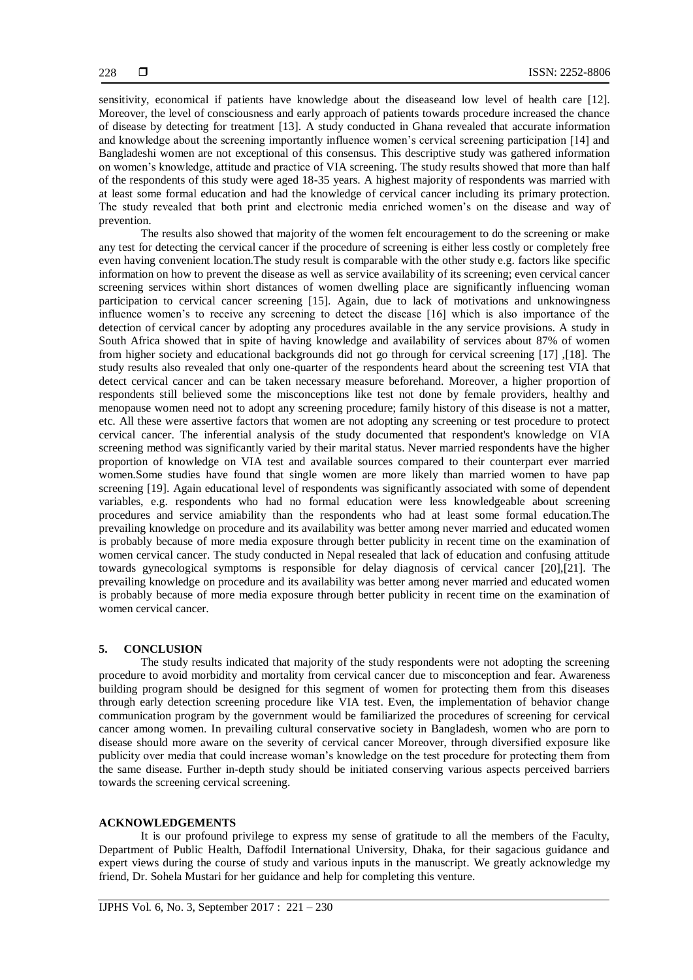sensitivity, economical if patients have knowledge about the diseaseand low level of health care [12]. Moreover, the level of consciousness and early approach of patients towards procedure increased the chance of disease by detecting for treatment [13]. A study conducted in Ghana revealed that accurate information and knowledge about the screening importantly influence women's cervical screening participation [14] and Bangladeshi women are not exceptional of this consensus. This descriptive study was gathered information on women's knowledge, attitude and practice of VIA screening. The study results showed that more than half of the respondents of this study were aged 18-35 years. A highest majority of respondents was married with at least some formal education and had the knowledge of cervical cancer including its primary protection. The study revealed that both print and electronic media enriched women's on the disease and way of prevention.

The results also showed that majority of the women felt encouragement to do the screening or make any test for detecting the cervical cancer if the procedure of screening is either less costly or completely free even having convenient location.The study result is comparable with the other study e.g. factors like specific information on how to prevent the disease as well as service availability of its screening; even cervical cancer screening services within short distances of women dwelling place are significantly influencing woman participation to cervical cancer screening [15]. Again, due to lack of motivations and unknowingness influence women's to receive any screening to detect the disease [16] which is also importance of the detection of cervical cancer by adopting any procedures available in the any service provisions. A study in South Africa showed that in spite of having knowledge and availability of services about 87% of women from higher society and educational backgrounds did not go through for cervical screening [17] ,[18]. The study results also revealed that only one-quarter of the respondents heard about the screening test VIA that detect cervical cancer and can be taken necessary measure beforehand. Moreover, a higher proportion of respondents still believed some the misconceptions like test not done by female providers, healthy and menopause women need not to adopt any screening procedure; family history of this disease is not a matter, etc. All these were assertive factors that women are not adopting any screening or test procedure to protect cervical cancer. The inferential analysis of the study documented that respondent's knowledge on VIA screening method was significantly varied by their marital status. Never married respondents have the higher proportion of knowledge on VIA test and available sources compared to their counterpart ever married women.Some studies have found that single women are more likely than married women to have pap screening [19]. Again educational level of respondents was significantly associated with some of dependent variables, e.g. respondents who had no formal education were less knowledgeable about screening procedures and service amiability than the respondents who had at least some formal education.The prevailing knowledge on procedure and its availability was better among never married and educated women is probably because of more media exposure through better publicity in recent time on the examination of women cervical cancer. The study conducted in Nepal resealed that lack of education and confusing attitude towards gynecological symptoms is responsible for delay diagnosis of cervical cancer [20],[21]. The prevailing knowledge on procedure and its availability was better among never married and educated women is probably because of more media exposure through better publicity in recent time on the examination of women cervical cancer.

#### **5. CONCLUSION**

The study results indicated that majority of the study respondents were not adopting the screening procedure to avoid morbidity and mortality from cervical cancer due to misconception and fear. Awareness building program should be designed for this segment of women for protecting them from this diseases through early detection screening procedure like VIA test. Even, the implementation of behavior change communication program by the government would be familiarized the procedures of screening for cervical cancer among women. In prevailing cultural conservative society in Bangladesh, women who are porn to disease should more aware on the severity of cervical cancer Moreover, through diversified exposure like publicity over media that could increase woman's knowledge on the test procedure for protecting them from the same disease. Further in-depth study should be initiated conserving various aspects perceived barriers towards the screening cervical screening.

#### **ACKNOWLEDGEMENTS**

It is our profound privilege to express my sense of gratitude to all the members of the Faculty, Department of Public Health, Daffodil International University, Dhaka, for their sagacious guidance and expert views during the course of study and various inputs in the manuscript. We greatly acknowledge my friend, Dr. Sohela Mustari for her guidance and help for completing this venture.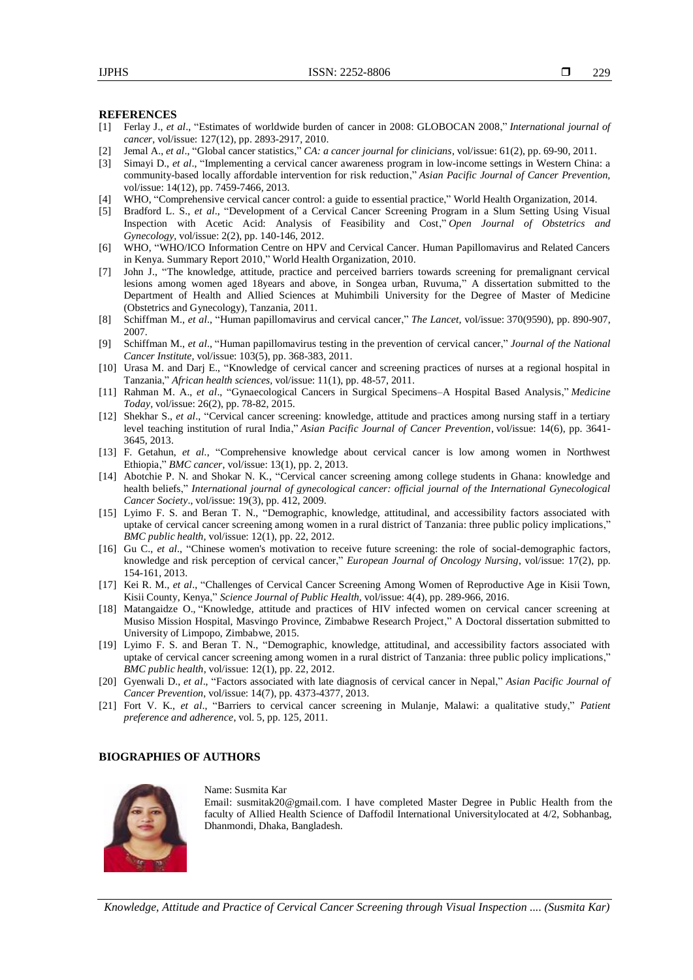#### **REFERENCES**

- [1] Ferlay J., *et al*., "Estimates of worldwide burden of cancer in 2008: GLOBOCAN 2008," *International journal of cancer*, vol/issue: 127(12), pp. 2893-2917, 2010.
- [2] Jemal A., *et al*., "Global cancer statistics," *CA: a cancer journal for clinicians*, vol/issue: 61(2), pp. 69-90, 2011.
- [3] Simayi D., *et al*., "Implementing a cervical cancer awareness program in low-income settings in Western China: a community-based locally affordable intervention for risk reduction," *Asian Pacific Journal of Cancer Prevention,*  vol/issue: 14(12), pp. 7459-7466, 2013.
- [4] WHO, "Comprehensive cervical cancer control: a guide to essential practice," World Health Organization, 2014.
- [5] Bradford L. S., *et al*., "Development of a Cervical Cancer Screening Program in a Slum Setting Using Visual Inspection with Acetic Acid: Analysis of Feasibility and Cost," *Open Journal of Obstetrics and Gynecology,* vol/issue: 2(2), pp. 140-146, 2012.
- [6] WHO, "WHO/ICO Information Centre on HPV and Cervical Cancer. Human Papillomavirus and Related Cancers in Kenya. Summary Report 2010," World Health Organization, 2010.
- [7] John J., "The knowledge, attitude, practice and perceived barriers towards screening for premalignant cervical lesions among women aged 18years and above, in Songea urban, Ruvuma," A dissertation submitted to the Department of Health and Allied Sciences at Muhimbili University for the Degree of Master of Medicine (Obstetrics and Gynecology), Tanzania, 2011.
- [8] Schiffman M., *et al*., "Human papillomavirus and cervical cancer," *The Lancet,* vol/issue: 370(9590), pp. 890-907, 2007.
- [9] Schiffman M., *et al*., "Human papillomavirus testing in the prevention of cervical cancer," *Journal of the National Cancer Institute,* vol/issue: 103(5), pp. 368-383, 2011.
- [10] Urasa M. and Darj E., "Knowledge of cervical cancer and screening practices of nurses at a regional hospital in Tanzania," *African health sciences,* vol/issue: 11(1), pp. 48-57, 2011.
- [11] Rahman M. A., *et al*., "Gynaecological Cancers in Surgical Specimens–A Hospital Based Analysis," *Medicine Today,* vol/issue: 26(2), pp. 78-82, 2015.
- [12] Shekhar S., *et al*., "Cervical cancer screening: knowledge, attitude and practices among nursing staff in a tertiary level teaching institution of rural India," *Asian Pacific Journal of Cancer Prevention*, vol/issue: 14(6), pp. 3641- 3645, 2013.
- [13] F. Getahun, *et al.*, "Comprehensive knowledge about cervical cancer is low among women in Northwest Ethiopia," *BMC cancer*, vol/issue: 13(1), pp. 2, 2013.
- [14] Abotchie P. N. and Shokar N. K., "Cervical cancer screening among college students in Ghana: knowledge and health beliefs," *International journal of gynecological cancer: official journal of the International Gynecological Cancer Society*., vol/issue: 19(3), pp. 412, 2009.
- [15] Lyimo F. S. and Beran T. N., "Demographic, knowledge, attitudinal, and accessibility factors associated with uptake of cervical cancer screening among women in a rural district of Tanzania: three public policy implications," *BMC public health,* vol/issue: 12(1), pp. 22, 2012.
- [16] Gu C., *et al*., "Chinese women's motivation to receive future screening: the role of social-demographic factors, knowledge and risk perception of cervical cancer," *European Journal of Oncology Nursing*, vol/issue: 17(2), pp. 154-161, 2013.
- [17] Kei R. M., *et al*., "Challenges of Cervical Cancer Screening Among Women of Reproductive Age in Kisii Town, Kisii County, Kenya," *Science Journal of Public Health,* vol/issue: 4(4), pp. 289-966, 2016.
- [18] Matangaidze O., "Knowledge, attitude and practices of HIV infected women on cervical cancer screening at Musiso Mission Hospital, Masvingo Province, Zimbabwe Research Project," A Doctoral dissertation submitted to University of Limpopo, Zimbabwe, 2015.
- [19] Lyimo F. S. and Beran T. N., "Demographic, knowledge, attitudinal, and accessibility factors associated with uptake of cervical cancer screening among women in a rural district of Tanzania: three public policy implications," *BMC public health*, vol/issue: 12(1), pp. 22, 2012.
- [20] Gyenwali D., *et al*., "Factors associated with late diagnosis of cervical cancer in Nepal," *Asian Pacific Journal of Cancer Prevention*, vol/issue: 14(7), pp. 4373-4377, 2013.
- [21] Fort V. K., *et al*., "Barriers to cervical cancer screening in Mulanje, Malawi: a qualitative study," *Patient preference and adherence*, vol. 5, pp. 125, 2011.

#### **BIOGRAPHIES OF AUTHORS**



#### Name: Susmita Kar

Email: susmitak20@gmail.com. I have completed Master Degree in Public Health from the faculty of Allied Health Science of Daffodil International Universitylocated at 4/2, Sobhanbag, Dhanmondi, Dhaka, Bangladesh.

*Knowledge, Attitude and Practice of Cervical Cancer Screening through Visual Inspection .... (Susmita Kar)*